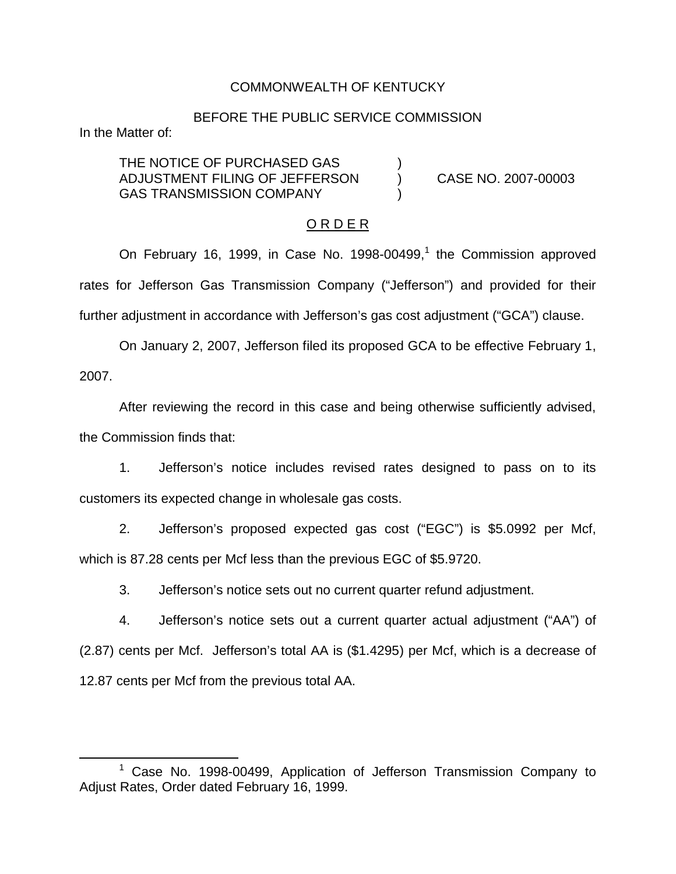### COMMONWEALTH OF KENTUCKY

#### BEFORE THE PUBLIC SERVICE COMMISSION

In the Matter of:

THE NOTICE OF PURCHASED GAS ADJUSTMENT FILING OF JEFFERSON ) CASE NO. 2007-00003 GAS TRANSMISSION COMPANY

### O R D E R

On February 16, 1999, in Case No. 1998-00499,<sup>1</sup> the Commission approved rates for Jefferson Gas Transmission Company ("Jefferson") and provided for their further adjustment in accordance with Jefferson's gas cost adjustment ("GCA") clause.

On January 2, 2007, Jefferson filed its proposed GCA to be effective February 1, 2007.

After reviewing the record in this case and being otherwise sufficiently advised, the Commission finds that:

1. Jefferson's notice includes revised rates designed to pass on to its customers its expected change in wholesale gas costs.

2. Jefferson's proposed expected gas cost ("EGC") is \$5.0992 per Mcf, which is 87.28 cents per Mcf less than the previous EGC of \$5.9720.

3. Jefferson's notice sets out no current quarter refund adjustment.

4. Jefferson's notice sets out a current quarter actual adjustment ("AA") of (2.87) cents per Mcf. Jefferson's total AA is (\$1.4295) per Mcf, which is a decrease of 12.87 cents per Mcf from the previous total AA.

<sup>&</sup>lt;sup>1</sup> Case No. 1998-00499, Application of Jefferson Transmission Company to Adjust Rates, Order dated February 16, 1999.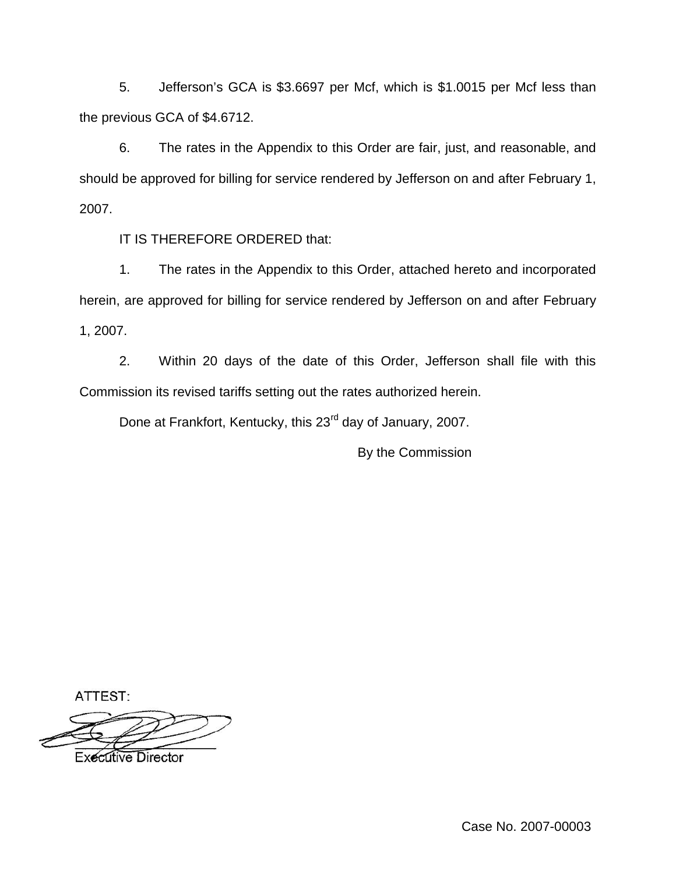5. Jefferson's GCA is \$3.6697 per Mcf, which is \$1.0015 per Mcf less than the previous GCA of \$4.6712.

6. The rates in the Appendix to this Order are fair, just, and reasonable, and should be approved for billing for service rendered by Jefferson on and after February 1, 2007.

IT IS THEREFORE ORDERED that:

1. The rates in the Appendix to this Order, attached hereto and incorporated herein, are approved for billing for service rendered by Jefferson on and after February 1, 2007.

2. Within 20 days of the date of this Order, Jefferson shall file with this Commission its revised tariffs setting out the rates authorized herein.

Done at Frankfort, Kentucky, this 23<sup>rd</sup> day of January, 2007.

By the Commission

ATTEST:

**Executive Director** 

Case No. 2007-00003